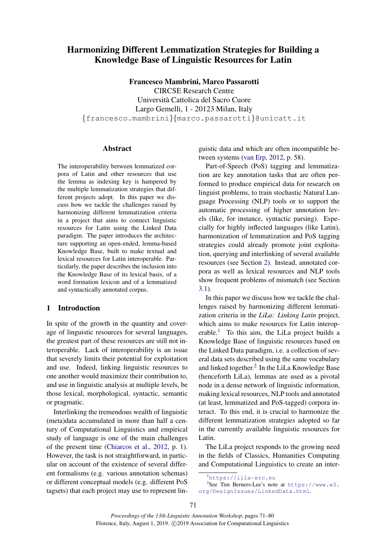# Harmonizing Different Lemmatization Strategies for Building a Knowledge Base of Linguistic Resources for Latin

Francesco Mambrini, Marco Passarotti

CIRCSE Research Centre Universita Cattolica del Sacro Cuore ` Largo Gemelli, 1 - 20123 Milan, Italy {francesco.mambrini}{marco.passarotti}@unicatt.it

#### Abstract

The interoperability between lemmatized corpora of Latin and other resources that use the lemma as indexing key is hampered by the multiple lemmatization strategies that different projects adopt. In this paper we discuss how we tackle the challenges raised by harmonizing different lemmatization criteria in a project that aims to connect linguistic resources for Latin using the Linked Data paradigm. The paper introduces the architecture supporting an open-ended, lemma-based Knowledge Base, built to make textual and lexical resources for Latin interoperable. Particularly, the paper describes the inclusion into the Knowledge Base of its lexical basis, of a word formation lexicon and of a lemmatized and syntactically annotated corpus.

#### 1 Introduction

In spite of the growth in the quantity and coverage of linguistic resources for several languages, the greatest part of these resources are still not interoperable. Lack of interoperability is an issue that severely limits their potential for exploitation and use. Indeed, linking linguistic resources to one another would maximize their contribution to, and use in linguistic analysis at multiple levels, be those lexical, morphological, syntactic, semantic or pragmatic.

Interlinking the tremendous wealth of linguistic (meta)data accumulated in more than half a century of Computational Linguistics and empirical study of language is one of the main challenges of the present time [\(Chiarcos et al.,](#page-8-0) [2012,](#page-8-0) p. 1). However, the task is not straightforward, in particular on account of the existence of several different formalisms (e.g. various annotation schemas) or different conceptual models (e.g. different PoS tagsets) that each project may use to represent lin-

guistic data and which are often incompatible between systems [\(van Erp,](#page-8-1) [2012,](#page-8-1) p. 58).

Part-of-Speech (PoS) tagging and lemmatization are key annotation tasks that are often performed to produce empirical data for research on linguist problems, to train stochastic Natural Language Processing (NLP) tools or to support the automatic processing of higher annotation levels (like, for instance, syntactic parsing). Especially for highly inflected languages (like Latin), harmonization of lemmatization and PoS tagging strategies could already promote joint exploitation, querying and interlinking of several available resources (see Section [2\)](#page-1-0). Instead, annotated corpora as well as lexical resources and NLP tools show frequent problems of mismatch (see Section [3.1\)](#page-2-0).

In this paper we discuss how we tackle the challenges raised by harmonizing different lemmatization criteria in the *LiLa: Linking Latin* project, which aims to make resources for Latin interop-erable.<sup>[1](#page-0-0)</sup> To this aim, the LiLa project builds a Knowledge Base of linguistic resources based on the Linked Data paradigm, i.e. a collection of several data sets described using the same vocabulary and linked together.<sup>[2](#page-0-1)</sup> In the LiLa Knowledge Base (henceforth LiLa), lemmas are used as a pivotal node in a dense network of linguistic information, making lexical resources, NLP tools and annotated (at least, lemmatized and PoS-tagged) corpora interact. To this end, it is crucial to harmonize the different lemmatization strategies adopted so far in the currently available linguistic resources for Latin.

The LiLa project responds to the growing need in the fields of Classics, Humanities Computing and Computational Linguistics to create an inter-

<span id="page-0-1"></span><span id="page-0-0"></span><sup>1</sup><https://lila-erc.eu>

<sup>2</sup> See Tim Berners-Lee's note at [https://www.w3.](https://www.w3.org/DesignIssues/LinkedData.html) [org/DesignIssues/LinkedData.html](https://www.w3.org/DesignIssues/LinkedData.html).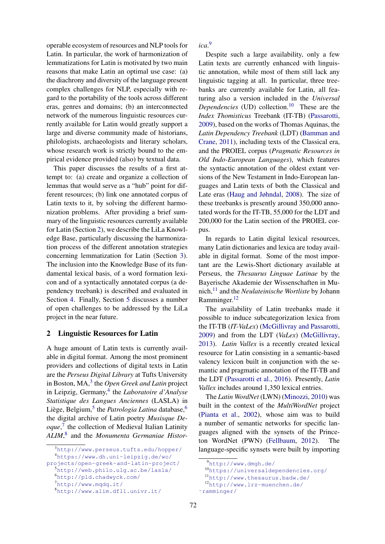operable ecosystem of resources and NLP tools for Latin. In particular, the work of harmonization of lemmatizations for Latin is motivated by two main reasons that make Latin an optimal use case: (a) the diachrony and diversity of the language present complex challenges for NLP, especially with regard to the portability of the tools across different eras, genres and domains; (b) an interconnected network of the numerous linguistic resources currently available for Latin would greatly support a large and diverse community made of historians, philologists, archaeologists and literary scholars, whose research work is strictly bound to the empirical evidence provided (also) by textual data.

This paper discusses the results of a first attempt to: (a) create and organize a collection of lemmas that would serve as a "hub" point for different resources; (b) link one annotated corpus of Latin texts to it, by solving the different harmonization problems. After providing a brief summary of the linguistic resources currently available for Latin (Section [2\)](#page-1-0), we describe the LiLa Knowledge Base, particularly discussing the harmonization process of the different annotation strategies concerning lemmatization for Latin (Section [3\)](#page-2-1). The inclusion into the Knowledge Base of its fundamental lexical basis, of a word formation lexicon and of a syntactically annotated corpus (a dependency treebank) is described and evaluated in Section [4.](#page-4-0) Finally, Section [5](#page-7-0) discusses a number of open challenges to be addressed by the LiLa project in the near future.

### <span id="page-1-0"></span>2 Linguistic Resources for Latin

A huge amount of Latin texts is currently available in digital format. Among the most prominent providers and collections of digital texts in Latin are the *Perseus Digital Library* at Tufts University in Boston, MA,<sup>[3](#page-1-1)</sup> the *Open Greek and Latin* project in Leipzig, Germany,<sup>[4](#page-1-2)</sup> the *Laboratoire d'Analyse Statistique des Langues Anciennes* (LASLA) in Liège, Belgium,<sup>[5](#page-1-3)</sup> the *Patrologia Latina* database,<sup>[6](#page-1-4)</sup> the digital archive of Latin poetry *Musisque Deoque*, [7](#page-1-5) the collection of Medieval Italian Latinity *ALIM*, [8](#page-1-6) and the *Monumenta Germaniae Histor-* *ica*. [9](#page-1-7)

Despite such a large availability, only a few Latin texts are currently enhanced with linguistic annotation, while most of them still lack any linguistic tagging at all. In particular, three treebanks are currently available for Latin, all featuring also a version included in the *Universal Dependencies* (UD) collection.<sup>[10](#page-1-8)</sup> These are the *Index Thomisticus* Treebank (IT-TB) [\(Passarotti,](#page-9-0) [2009\)](#page-9-0), based on the works of Thomas Aquinas, the *Latin Dependency Treebank* (LDT) [\(Bamman and](#page-8-2) [Crane,](#page-8-2) [2011\)](#page-8-2), including texts of the Classical era, and the PROIEL corpus (*Pragmatic Resources in Old Indo-European Languages*), which features the syntactic annotation of the oldest extant versions of the New Testament in Indo-European languages and Latin texts of both the Classical and Late eras [\(Haug and Jøhndal,](#page-8-3) [2008\)](#page-8-3). The size of these treebanks is presently around 350,000 annotated words for the IT-TB, 55,000 for the LDT and 200,000 for the Latin section of the PROIEL corpus.

In regards to Latin digital lexical resources, many Latin dictionaries and lexica are today available in digital format. Some of the most important are the Lewis-Short dictionary available at Perseus, the *Thesaurus Linguae Latinae* by the Bayerische Akademie der Wissenschaften in Munich,[11](#page-1-9) and the *Neulateinische Wortliste* by Johann Ramminger.[12](#page-1-10)

The availability of Latin treebanks made it possible to induce subcategorization lexica from the IT-TB (*IT-VaLex*) [\(McGillivray and Passarotti,](#page-9-1) [2009\)](#page-9-1) and from the LDT (*VaLex*) [\(McGillivray,](#page-9-2) [2013\)](#page-9-2). *Latin Vallex* is a recently created lexical resource for Latin consisting in a semantic-based valency lexicon built in conjunction with the semantic and pragmatic annotation of the IT-TB and the LDT [\(Passarotti et al.,](#page-9-3) [2016\)](#page-9-3). Presently, *Latin Vallex* includes around 1,350 lexical entries.

The *Latin WordNet* (LWN) [\(Minozzi,](#page-9-4) [2010\)](#page-9-4) was built in the context of the *MultiWordNet* project [\(Pianta et al.,](#page-9-5) [2002\)](#page-9-5), whose aim was to build a number of semantic networks for specific languages aligned with the synsets of the Princeton WordNet (PWN) [\(Fellbaum,](#page-8-4) [2012\)](#page-8-4). The language-specific synsets were built by importing

<span id="page-1-2"></span><span id="page-1-1"></span><sup>3</sup><http://www.perseus.tufts.edu/hopper/> <sup>4</sup>[https://www.dh.uni-leipzig.de/wo/](https://www.dh.uni-leipzig.de/wo/projects/open-greek-and-latin-project/)

[projects/open-greek-and-latin-project/](https://www.dh.uni-leipzig.de/wo/projects/open-greek-and-latin-project/)

<span id="page-1-3"></span><sup>5</sup><http://web.philo.ulg.ac.be/lasla/>

<span id="page-1-4"></span><sup>6</sup><http://pld.chadwyck.com/>

<span id="page-1-5"></span><sup>7</sup><http://www.mqdq.it/>

<span id="page-1-6"></span><sup>8</sup><http://www.alim.dfll.univr.it/>

<span id="page-1-7"></span><sup>9</sup><http://www.dmgh.de/>

<span id="page-1-8"></span><sup>10</sup><https://universaldependencies.org/>

<span id="page-1-9"></span><sup>11</sup><http://www.thesaurus.badw.de/>

<span id="page-1-10"></span><sup>12</sup>[http://www.lrz-muenchen.de/](http://www.lrz-muenchen.de/~ramminger/)

[<sup>˜</sup>ramminger/](http://www.lrz-muenchen.de/~ramminger/)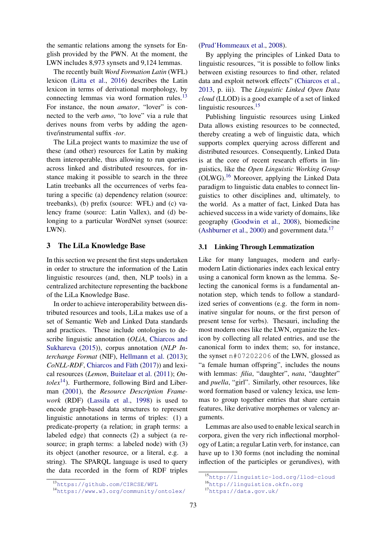the semantic relations among the synsets for English provided by the PWN. At the moment, the LWN includes 8,973 synsets and 9,124 lemmas.

The recently built *Word Formation Latin* (WFL) lexicon [\(Litta et al.,](#page-9-6) [2016\)](#page-9-6) describes the Latin lexicon in terms of derivational morphology, by connecting lemmas via word formation rules. $^{13}$  $^{13}$  $^{13}$ For instance, the noun *amator*, "lover" is connected to the verb *amo*, "to love" via a rule that derives nouns from verbs by adding the agentive/instrumental suffix *-tor*.

The LiLa project wants to maximize the use of these (and other) resources for Latin by making them interoperable, thus allowing to run queries across linked and distributed resources, for instance making it possible to search in the three Latin treebanks all the occurrences of verbs featuring a specific (a) dependency relation (source: treebanks), (b) prefix (source: WFL) and (c) valency frame (source: Latin Vallex), and (d) belonging to a particular WordNet synset (source: LWN).

# <span id="page-2-1"></span>3 The LiLa Knowledge Base

In this section we present the first steps undertaken in order to structure the information of the Latin linguistic resources (and, then, NLP tools) in a centralized architecture representing the backbone of the LiLa Knowledge Base.

In order to achieve interoperability between distributed resources and tools, LiLa makes use of a set of Semantic Web and Linked Data standards and practices. These include ontologies to describe linguistic annotation (*OLiA*, [Chiarcos and](#page-8-5) [Sukhareva](#page-8-5) [\(2015\)](#page-8-5)), corpus annotation (*NLP Interchange Format* (NIF), [Hellmann et al.](#page-8-6) [\(2013\)](#page-8-6); *CoNLL-RDF*, Chiarcos and Fäth [\(2017\)](#page-8-7)) and lexical resources (*Lemon*, [Buitelaar et al.](#page-8-8) [\(2011\)](#page-8-8); *On-). Furthermore, following Bird and Liber*man [\(2001\)](#page-8-9), the *Resource Description Framework* (RDF) [\(Lassila et al.,](#page-8-10) [1998\)](#page-8-10) is used to encode graph-based data structures to represent linguistic annotations in terms of triples: (1) a predicate-property (a relation; in graph terms: a labeled edge) that connects (2) a subject (a resource; in graph terms: a labeled node) with (3) its object (another resource, or a literal, e.g. a string). The SPARQL language is used to query the data recorded in the form of RDF triples [\(Prud'Hommeaux et al.,](#page-9-7) [2008\)](#page-9-7).

By applying the principles of Linked Data to linguistic resources, "it is possible to follow links between existing resources to find other, related data and exploit network effects" [\(Chiarcos et al.,](#page-8-11) [2013,](#page-8-11) p. iii). The *Linguistic Linked Open Data cloud* (LLOD) is a good example of a set of linked linguistic resources.<sup>[15](#page-2-4)</sup>

Publishing linguistic resources using Linked Data allows existing resources to be connected, thereby creating a web of linguistic data, which supports complex querying across different and distributed resources. Consequently, Linked Data is at the core of recent research efforts in linguistics, like the *Open Linguistic Working Group* (OLWG).[16](#page-2-5) Moreover, applying the Linked Data paradigm to linguistic data enables to connect linguistics to other disciplines and, ultimately, to the world. As a matter of fact, Linked Data has achieved success in a wide variety of domains, like geography [\(Goodwin et al.,](#page-8-12) [2008\)](#page-8-12), biomedicine [\(Ashburner et al.,](#page-8-13) [2000\)](#page-8-13) and government data.[17](#page-2-6)

#### <span id="page-2-0"></span>3.1 Linking Through Lemmatization

Like for many languages, modern and earlymodern Latin dictionaries index each lexical entry using a canonical form known as the lemma. Selecting the canonical forms is a fundamental annotation step, which tends to follow a standardized series of conventions (e.g. the form in nominative singular for nouns, or the first person of present tense for verbs). Thesauri, including the most modern ones like the LWN, organize the lexicon by collecting all related entries, and use the canonical form to index them; so, for instance, the synset n#07202206 of the LWN, glossed as "a female human offspring", includes the nouns with lemmas: *filia*, "daughter", *nata*, "daughter" and *puella*, "girl". Similarly, other resources, like word formation based or valency lexica, use lemmas to group together entries that share certain features, like derivative morphemes or valency arguments.

Lemmas are also used to enable lexical search in corpora, given the very rich inflectional morphology of Latin; a regular Latin verb, for instance, can have up to 130 forms (not including the nominal inflection of the participles or gerundives), with

<span id="page-2-6"></span><span id="page-2-5"></span><sup>17</sup><https://data.gov.uk/>

<span id="page-2-4"></span><sup>15</sup><http://linguistic-lod.org/llod-cloud> <sup>16</sup><http://linguistics.okfn.org>

<span id="page-2-2"></span><sup>13</sup><https://github.com/CIRCSE/WFL>

<span id="page-2-3"></span><sup>14</sup><https://www.w3.org/community/ontolex/>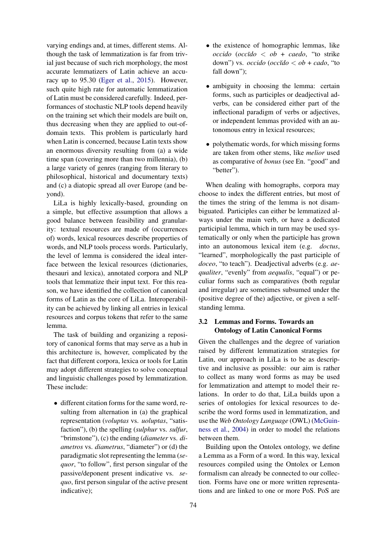varying endings and, at times, different stems. Although the task of lemmatization is far from trivial just because of such rich morphology, the most accurate lemmatizers of Latin achieve an accuracy up to 95.30 [\(Eger et al.,](#page-8-14) [2015\)](#page-8-14). However, such quite high rate for automatic lemmatization of Latin must be considered carefully. Indeed, performances of stochastic NLP tools depend heavily on the training set which their models are built on, thus decreasing when they are applied to out-ofdomain texts. This problem is particularly hard when Latin is concerned, because Latin texts show an enormous diversity resulting from (a) a wide time span (covering more than two millennia), (b) a large variety of genres (ranging from literary to philosophical, historical and documentary texts) and (c) a diatopic spread all over Europe (and beyond).

LiLa is highly lexically-based, grounding on a simple, but effective assumption that allows a good balance between feasibility and granularity: textual resources are made of (occurrences of) words, lexical resources describe properties of words, and NLP tools process words. Particularly, the level of lemma is considered the ideal interface between the lexical resources (dictionaries, thesauri and lexica), annotated corpora and NLP tools that lemmatize their input text. For this reason, we have identified the collection of canonical forms of Latin as the core of LiLa. Interoperability can be achieved by linking all entries in lexical resources and corpus tokens that refer to the same lemma.

The task of building and organizing a repository of canonical forms that may serve as a hub in this architecture is, however, complicated by the fact that different corpora, lexica or tools for Latin may adopt different strategies to solve conceptual and linguistic challenges posed by lemmatization. These include:

• different citation forms for the same word, resulting from alternation in (a) the graphical representation (*voluptas* vs. *uoluptas*, "satisfaction"), (b) the spelling (*sulphur* vs. *sulfur*, "brimstone"), (c) the ending (*diameter* vs. *diametros* vs. *diametrus*, "diameter") or (d) the paradigmatic slot representing the lemma (*sequor*, "to follow", first person singular of the passive/deponent present indicative vs. *sequo*, first person singular of the active present indicative);

- the existence of homographic lemmas, like  $\text{occido}$  ( $\text{occ\bar{u}}\text{do} < \text{ob}$  +  $\text{caedo}$ , "to strike" down") vs. *occido* (*occ˘ıdo* < *ob* + *cado*, "to fall down");
- ambiguity in choosing the lemma: certain forms, such as participles or deadjectival adverbs, can be considered either part of the inflectional paradigm of verbs or adjectives, or independent lemmas provided with an autonomous entry in lexical resources;
- polythematic words, for which missing forms are taken from other stems, like *melior* used as comparative of *bonus* (see En. "good" and "better").

When dealing with homographs, corpora may choose to index the different entries, but most of the times the string of the lemma is not disambiguated. Participles can either be lemmatized always under the main verb, or have a dedicated participial lemma, which in turn may be used systematically or only when the participle has grown into an autonomous lexical item (e.g. *doctus*, "learned", morphologically the past participle of *doceo*, "to teach"). Deadjectival adverbs (e.g. *aequaliter*, "evenly" from *aequalis*, "equal") or peculiar forms such as comparatives (both regular and irregular) are sometimes subsumed under the (positive degree of the) adjective, or given a selfstanding lemma.

# 3.2 Lemmas and Forms. Towards an Ontology of Latin Canonical Forms

Given the challenges and the degree of variation raised by different lemmatization strategies for Latin, our approach in LiLa is to be as descriptive and inclusive as possible: our aim is rather to collect as many word forms as may be used for lemmatization and attempt to model their relations. In order to do that, LiLa builds upon a series of ontologies for lexical resources to describe the word forms used in lemmatization, and use the *Web Ontology Language* (OWL) [\(McGuin](#page-9-8)[ness et al.,](#page-9-8) [2004\)](#page-9-8) in order to model the relations between them.

Building upon the Ontolex ontology, we define a Lemma as a Form of a word. In this way, lexical resources compiled using the Ontolex or Lemon formalism can already be connected to our collection. Forms have one or more written representations and are linked to one or more PoS. PoS are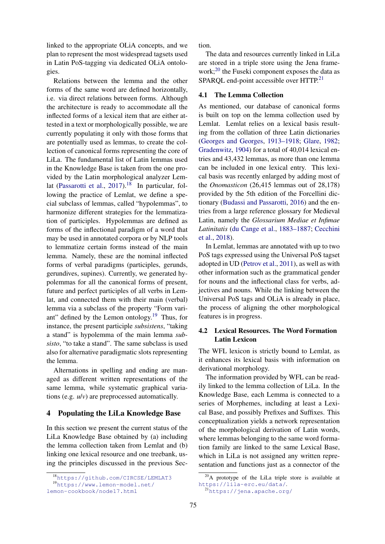linked to the appropriate OLiA concepts, and we plan to represent the most widespread tagsets used in Latin PoS-tagging via dedicated OLiA ontologies.

Relations between the lemma and the other forms of the same word are defined horizontally, i.e. via direct relations between forms. Although the architecture is ready to accommodate all the inflected forms of a lexical item that are either attested in a text or morphologically possible, we are currently populating it only with those forms that are potentially used as lemmas, to create the collection of canonical forms representing the core of LiLa. The fundamental list of Latin lemmas used in the Knowledge Base is taken from the one provided by the Latin morphological analyzer Lem-lat [\(Passarotti et al.,](#page-9-9)  $2017$ ).<sup>[18](#page-4-1)</sup> In particular, following the practice of Lemlat, we define a special subclass of lemmas, called "hypolemmas", to harmonize different strategies for the lemmatization of participles. Hypolemmas are defined as forms of the inflectional paradigm of a word that may be used in annotated corpora or by NLP tools to lemmatize certain forms instead of the main lemma. Namely, these are the nominal inflected forms of verbal paradigms (participles, gerunds, gerundives, supines). Currently, we generated hypolemmas for all the canonical forms of present, future and perfect participles of all verbs in Lemlat, and connected them with their main (verbal) lemma via a subclass of the property "Form variant" defined by the Lemon ontology. $19$  Thus, for instance, the present participle *subsistens*, "taking a stand" is hypolemma of the main lemma *subsisto*, "to take a stand". The same subclass is used also for alternative paradigmatic slots representing the lemma.

Alternations in spelling and ending are managed as different written representations of the same lemma, while systematic graphical variations (e.g. *u*/*v*) are preprocessed automatically.

#### <span id="page-4-0"></span>4 Populating the LiLa Knowledge Base

In this section we present the current status of the LiLa Knowledge Base obtained by (a) including the lemma collection taken from Lemlat and (b) linking one lexical resource and one treebank, using the principles discussed in the previous Section.

The data and resources currently linked in LiLa are stored in a triple store using the Jena frame-work;<sup>[20](#page-4-3)</sup> the Fuseki component exposes the data as SPARQL end-point accessible over HTTP.<sup>[21](#page-4-4)</sup>

#### 4.1 The Lemma Collection

As mentioned, our database of canonical forms is built on top on the lemma collection used by Lemlat. Lemlat relies on a lexical basis resulting from the collation of three Latin dictionaries [\(Georges and Georges,](#page-8-15) [1913–1918;](#page-8-15) [Glare,](#page-8-16) [1982;](#page-8-16) [Gradenwitz,](#page-8-17) [1904\)](#page-8-17) for a total of 40,014 lexical entries and 43,432 lemmas, as more than one lemma can be included in one lexical entry. This lexical basis was recently enlarged by adding most of the *Onomasticon* (26,415 lemmas out of 28,178) provided by the 5th edition of the Forcellini dictionary [\(Budassi and Passarotti,](#page-8-18) [2016\)](#page-8-18) and the entries from a large reference glossary for Medieval Latin, namely the *Glossarium Mediae et Infimae Latinitatis* [\(du Cange et al.,](#page-8-19) [1883–1887;](#page-8-19) [Cecchini](#page-8-20) [et al.,](#page-8-20) [2018\)](#page-8-20).

In Lemlat, lemmas are annotated with up to two PoS tags expressed using the Universal PoS tagset adopted in UD [\(Petrov et al.,](#page-9-10) [2011\)](#page-9-10), as well as with other information such as the grammatical gender for nouns and the inflectional class for verbs, adjectives and nouns. While the linking between the Universal PoS tags and OLiA is already in place, the process of aligning the other morphological features is in progress.

# 4.2 Lexical Resources. The Word Formation Latin Lexicon

The WFL lexicon is strictly bound to Lemlat, as it enhances its lexical basis with information on derivational morphology.

The information provided by WFL can be readily linked to the lemma collection of LiLa. In the Knowledge Base, each Lemma is connected to a series of Morphemes, including at least a Lexical Base, and possibly Prefixes and Suffixes. This conceptualization yields a network representation of the morphological derivation of Latin words, where lemmas belonging to the same word formation family are linked to the same Lexical Base, which in LiLa is not assigned any written representation and functions just as a connector of the

<span id="page-4-2"></span><span id="page-4-1"></span><sup>18</sup><https://github.com/CIRCSE/LEMLAT3>

<sup>19</sup>[https://www.lemon-model.net/](https://www.lemon-model.net/lemon-cookbook/node17.html)

[lemon-cookbook/node17.html](https://www.lemon-model.net/lemon-cookbook/node17.html)

<span id="page-4-3"></span><sup>20</sup>A prototype of the LiLa triple store is available at <https://lila-erc.eu/data/>.

<span id="page-4-4"></span><sup>21</sup><https://jena.apache.org/>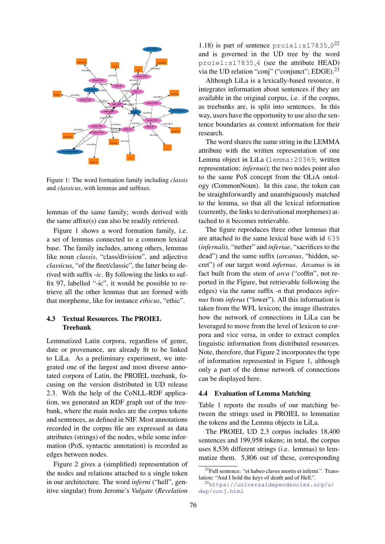<span id="page-5-0"></span>

Figure 1: The word formation family including *classis* and *classicus*, with lemmas and suffixes.

lemmas of the same family; words derived with the same affixe(s) can also be readily retrieved.

Figure [1](#page-5-0) shows a word formation family, i.e. a set of lemmas connected to a common lexical base. The family includes, among others, lemmas like noun *classis*, "class/division", and adjective *classicus*, "of the fleet/classic", the latter being derived with suffix *-ic*. By following the links to suffix 97, labelled "-ic", it would be possible to retrieve all the other lemmas that are formed with that morpheme, like for instance *ethicus*, "ethic".

# 4.3 Textual Resources. The PROIEL Treebank

Lemmatized Latin corpora, regardless of genre, date or provenance, are already fit to be linked to LiLa. As a preliminary experiment, we integrated one of the largest and most diverse annotated corpora of Latin, the PROIEL treebank, focusing on the version distributed in UD release 2.3. With the help of the CoNLL-RDF application, we generated an RDF graph out of the treebank, where the main nodes are the corpus tokens and sentences, as defined in NIF. Most annotations recorded in the corpus file are expressed as data attributes (strings) of the nodes, while some information (PoS, syntactic annotation) is recorded as edges between nodes.

Figure [2](#page-6-0) gives a (simplified) representation of the nodes and relations attached to a single token in our architecture. The word *inferni* ("hell", genitive singular) from Jerome's *Vulgate* (*Revelation*

1.18) is part of sentence  $\text{proie}1$ : s17835<sub>-0</sub><sup>[22](#page-5-1)</sup> and is governed in the UD tree by the word proiel:s17835 4 (see the attribute HEAD) via the UD relation "conj" ("conjunct"; EDGE).<sup>[23](#page-5-2)</sup>

Although LiLa is a lexically-based resource, it integrates information about sentences if they are available in the original corpus, i.e. if the corpus, as treebanks are, is split into sentences. In this way, users have the opportunity to use also the sentence boundaries as context information for their research.

The word shares the same string in the LEMMA attribute with the written representation of one Lemma object in LiLa (lemma:20369; written representation: *infernus*); the two nodes point also to the same PoS concept from the OLiA ontology (CommonNoun). In this case, the token can be straightforwardly and unambiguously matched to the lemma, so that all the lexical information (currently, the links to derivational morphemes) attached to it becomes retrievable.

The figure reproduces three other lemmas that are attached to the same lexical base with id 639 (*infernalis*, "nether" and *inferiae*, "sacrifices to the dead") and the same suffix (*arcanus*, "hidden, secret") of our target word *infernus*. *Arcanus* is in fact built from the stem of *arca* ("coffin", not reported in the Figure, but retrievable following the edges) via the same suffix *-n* that produces *infernus* from *inferus* ("lower"). All this information is taken from the WFL lexicon; the image illustrates how the network of connections in LiLa can be leveraged to move from the level of lexicon to corpora and vice versa, in order to extract complex linguistic information from distributed resources. Note, therefore, that Figure [2](#page-6-0) incorporates the type of information represented in Figure [1,](#page-5-0) although only a part of the dense network of connections can be displayed here.

# 4.4 Evaluation of Lemma Matching

Table [1](#page-6-1) reports the results of our matching between the strings used in PROIEL to lemmatize the tokens and the Lemma objects in LiLa.

The PROIEL UD 2.3 corpus includes 18,400 sentences and 199,958 tokens; in total, the corpus uses 8,536 different strings (i.e. lemmas) to lemmatize them. 5,806 out of these, corresponding

<span id="page-5-1"></span><sup>&</sup>lt;sup>22</sup>Full sentence: "et habeo claves mortis et inferni.". Translation: "And I hold the keys of death and of Hell.".

<span id="page-5-2"></span><sup>23</sup>[https://universaldependencies.org/u/](https://universaldependencies.org/u/dep/conj.html) [dep/conj.html](https://universaldependencies.org/u/dep/conj.html)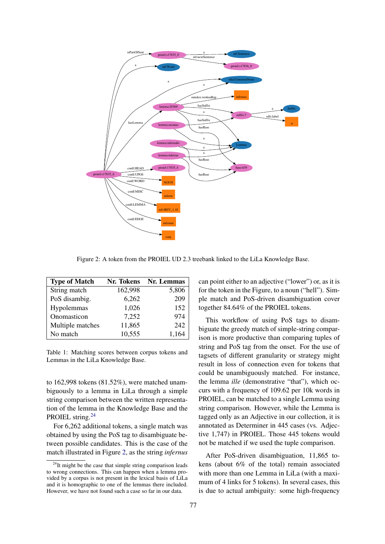<span id="page-6-0"></span>

Figure 2: A token from the PROIEL UD 2.3 treebank linked to the LiLa Knowledge Base.

<span id="page-6-1"></span>

| <b>Type of Match</b> | Nr. Tokens | Nr. Lemmas |
|----------------------|------------|------------|
| String match         | 162,998    | 5,806      |
| PoS disambig.        | 6,262      | 209        |
| Hypolemmas           | 1,026      | 152        |
| Onomasticon          | 7,252      | 974        |
| Multiple matches     | 11,865     | 242        |
| No match             | 10,555     | 1,164      |

Table 1: Matching scores between corpus tokens and Lemmas in the LiLa Knowledge Base.

to 162,998 tokens (81.52%), were matched unambiguously to a lemma in LiLa through a simple string comparison between the written representation of the lemma in the Knowledge Base and the PROIEL string.<sup>[24](#page-6-2)</sup>

For 6,262 additional tokens, a single match was obtained by using the PoS tag to disambiguate between possible candidates. This is the case of the match illustrated in Figure [2,](#page-6-0) as the string *infernus* can point either to an adjective ("lower") or, as it is for the token in the Figure, to a noun ("hell"). Simple match and PoS-driven disambiguation cover together 84.64% of the PROIEL tokens.

This workflow of using PoS tags to disambiguate the greedy match of simple-string comparison is more productive than comparing tuples of string and PoS tag from the onset. For the use of tagsets of different granularity or strategy might result in loss of connection even for tokens that could be unambiguously matched. For instance, the lemma *ille* (demonstrative "that"), which occurs with a frequency of 109.62 per 10k words in PROIEL, can be matched to a single Lemma using string comparison. However, while the Lemma is tagged only as an Adjective in our collection, it is annotated as Determiner in 445 cases (vs. Adjective 1,747) in PROIEL. Those 445 tokens would not be matched if we used the tuple comparison.

After PoS-driven disambiguation, 11,865 tokens (about 6% of the total) remain associated with more than one Lemma in LiLa (with a maximum of 4 links for 5 tokens). In several cases, this is due to actual ambiguity: some high-frequency

<span id="page-6-2"></span> $24$ It might be the case that simple string comparison leads to wrong connections. This can happen when a lemma provided by a corpus is not present in the lexical basis of LiLa and it is homographic to one of the lemmas there included. However, we have not found such a case so far in our data.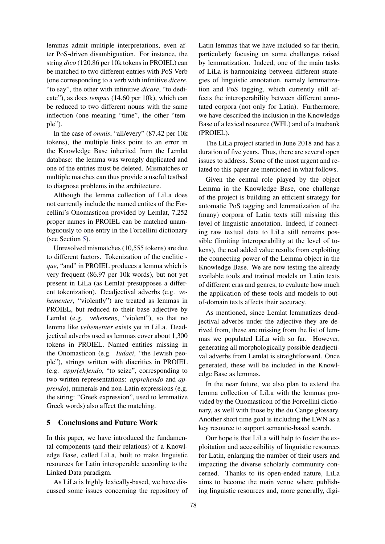lemmas admit multiple interpretations, even after PoS-driven disambiguation. For instance, the string *dico* (120.86 per 10k tokens in PROIEL) can be matched to two different entries with PoS Verb (one corresponding to a verb with infinitive *dicere*, "to say", the other with infinitive *dicare*, "to dedicate"), as does *tempus* (14.60 per 10k), which can be reduced to two different nouns with the same inflection (one meaning "time", the other "temple").

In the case of *omnis*, "all/every" (87.42 per 10k tokens), the multiple links point to an error in the Knowledge Base inherited from the Lemlat database: the lemma was wrongly duplicated and one of the entries must be deleted. Mismatches or multiple matches can thus provide a useful testbed to diagnose problems in the architecture.

Although the lemma collection of LiLa does not currently include the named entites of the Forcellini's Onomasticon provided by Lemlat, 7,252 proper names in PROIEL can be matched unambiguously to one entry in the Forcellini dictionary (see Section [5\)](#page-7-0).

Unresolved mismatches (10,555 tokens) are due to different factors. Tokenization of the enclitic  *que*, "and" in PROIEL produces a lemma which is very frequent (86.97 per 10k words), but not yet present in LiLa (as Lemlat presupposes a different tokenization). Deadjectival adverbs (e.g. *vehementer*, "violently") are treated as lemmas in PROIEL, but reduced to their base adjective by Lemlat (e.g. *vehemens*, "violent"), so that no lemma like *vehementer* exists yet in LiLa. Deadjectival adverbs used as lemmas cover about 1,300 tokens in PROIEL. Named entities missing in the Onomasticon (e.g. *Iudaei*, "the Jewish people"), strings written with diacritics in PROIEL (e.g. *appr(eh)endo*, "to seize", corresponding to two written representations: *apprehendo* and *apprendo*), numerals and non-Latin expressions (e.g. the string: "Greek expression", used to lemmatize Greek words) also affect the matching.

### <span id="page-7-0"></span>5 Conclusions and Future Work

In this paper, we have introduced the fundamental components (and their relations) of a Knowledge Base, called LiLa, built to make linguistic resources for Latin interoperable according to the Linked Data paradigm.

As LiLa is highly lexically-based, we have discussed some issues concerning the repository of Latin lemmas that we have included so far therin, particularly focusing on some challenges raised by lemmatization. Indeed, one of the main tasks of LiLa is harmonizing between different strategies of linguistic annotation, namely lemmatization and PoS tagging, which currently still affects the interoperability between different annotated corpora (not only for Latin). Furthermore, we have described the inclusion in the Knowledge Base of a lexical resource (WFL) and of a treebank (PROIEL).

The LiLa project started in June 2018 and has a duration of five years. Thus, there are several open issues to address. Some of the most urgent and related to this paper are mentioned in what follows.

Given the central role played by the object Lemma in the Knowledge Base, one challenge of the project is building an efficient strategy for automatic PoS tagging and lemmatization of the (many) corpora of Latin texts still missing this level of linguistic annotation. Indeed, if connecting raw textual data to LiLa still remains possible (limiting interoperability at the level of tokens), the real added value results from exploiting the connecting power of the Lemma object in the Knowledge Base. We are now testing the already available tools and trained models on Latin texts of different eras and genres, to evaluate how much the application of these tools and models to outof-domain texts affects their accuracy.

As mentioned, since Lemlat lemmatizes deadjectival adverbs under the adjective they are derived from, these are missing from the list of lemmas we populated LiLa with so far. However, generating all morphologically possible deadjectival adverbs from Lemlat is straightforward. Once generated, these will be included in the Knowledge Base as lemmas.

In the near future, we also plan to extend the lemma collection of LiLa with the lemmas provided by the Onomasticon of the Forcellini dictionary, as well with those by the du Cange glossary. Another short time goal is including the LWN as a key resource to support semantic-based search.

Our hope is that LiLa will help to foster the exploitation and accessibility of linguistic resources for Latin, enlarging the number of their users and impacting the diverse scholarly community concerned. Thanks to its open-ended nature, LiLa aims to become the main venue where publishing linguistic resources and, more generally, digi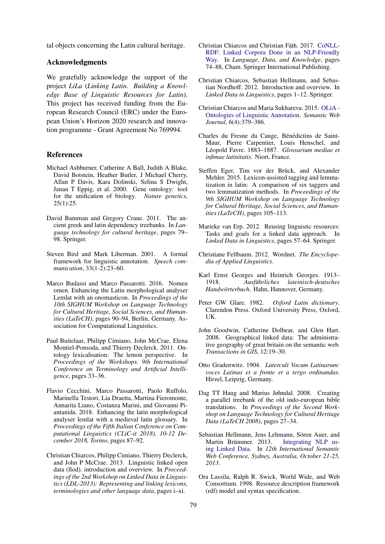tal objects concerning the Latin cultural heritage.

# Acknowledgments

We gratefully acknowledge the support of the project *LiLa* (*Linking Latin. Building a Knowledge Base of Linguistic Resources for Latin*). This project has received funding from the European Research Council (ERC) under the European Union's Horizon 2020 research and innovation programme - Grant Agreement No 769994.

#### References

- <span id="page-8-13"></span>Michael Ashburner, Catherine A Ball, Judith A Blake, David Botstein, Heather Butler, J Michael Cherry, Allan P Davis, Kara Dolinski, Selina S Dwight, Janan T Eppig, et al. 2000. Gene ontology: tool for the unification of biology. *Nature genetics*,  $25(1):25.$
- <span id="page-8-2"></span>David Bamman and Gregory Crane. 2011. The ancient greek and latin dependency treebanks. In *Language technology for cultural heritage*, pages 79– 98. Springer.
- <span id="page-8-9"></span>Steven Bird and Mark Liberman. 2001. A formal framework for linguistic annotation. *Speech communication*, 33(1-2):23–60.
- <span id="page-8-18"></span>Marco Budassi and Marco Passarotti. 2016. Nomen omen. Enhancing the Latin morphological analyser Lemlat with an onomasticon. In *Proceedings of the 10th SIGHUM Workshop on Language Technology for Cultural Heritage, Social Sciences, and Humanities (LaTeCH)*, pages 90–94, Berlin, Germany. Association for Computational Linguistics.
- <span id="page-8-8"></span>Paul Buitelaar, Philipp Cimiano, John McCrae, Elena Montiel-Ponsoda, and Thierry Declerck. 2011. Ontology lexicalisation: The lemon perspective. In *Proceedings of the Workshops. 9th International Conference on Terminology and Artificial Intelligence*, pages 33–36.
- <span id="page-8-20"></span>Flavio Cecchini, Marco Passarotti, Paolo Ruffolo, Marinella Testori, Lia Draetta, Martina Fieromonte, Annarita Liano, Costanza Marini, and Giovanni Piantanida. 2018. Enhancing the latin morphological analyser lemlat with a medieval latin glossary. In *Proceedings of the Fifth Italian Conference on Computational Linguistics (CLiC-it 2018). 10-12 December 2018, Torino*, pages 87–92.
- <span id="page-8-11"></span>Christian Chiarcos, Philipp Cimiano, Thierry Declerck, and John P McCrae. 2013. Linguistic linked open data (llod). introduction and overview. In *Proceedings of the 2nd Workshop on Linked Data in Linguistics (LDL-2013): Representing and linking lexicons, terminologies and other language data*, pages i–xi.
- <span id="page-8-7"></span>Christian Chiarcos and Christian Fäth. 2017. [CoNLL-](https://link.springer.com/content/pdf/10.1007%2F978-3-319-59888-8_6.pdf)[RDF: Linked Corpora Done in an NLP-Friendly](https://link.springer.com/content/pdf/10.1007%2F978-3-319-59888-8_6.pdf) [Way.](https://link.springer.com/content/pdf/10.1007%2F978-3-319-59888-8_6.pdf) In *Language, Data, and Knowledge*, pages 74–88, Cham. Springer International Publishing.
- <span id="page-8-0"></span>Christian Chiarcos, Sebastian Hellmann, and Sebastian Nordhoff. 2012. Introduction and overview. In *Linked Data in Linguistics*, pages 1–12. Springer.
- <span id="page-8-5"></span>Christian Chiarcos and Maria Sukhareva. 2015. [OLiA -](http://www.semantic-web-journal.net/content/olia-%E2%80%93-ontologies-linguistic-annotation) [Ontologies of Linguistic Annotation.](http://www.semantic-web-journal.net/content/olia-%E2%80%93-ontologies-linguistic-annotation) *Semantic Web Journal*, 6(4):379–386.
- <span id="page-8-19"></span>Charles du Fresne du Cange, Bénédictins de Saint-Maur, Pierre Carpentier, Louis Henschel, and Léopold Favre. 1883-1887. Glossarium mediae et *infimae latinitatis*. Niort, France.
- <span id="page-8-14"></span>Steffen Eger, Tim vor der Brück, and Alexander Mehler. 2015. Lexicon-assisted tagging and lemmatization in latin: A comparison of six taggers and two lemmatization methods. In *Proceedings of the 9th SIGHUM Workshop on Language Technology for Cultural Heritage, Social Sciences, and Humanities (LaTeCH)*, pages 105–113.
- <span id="page-8-1"></span>Marieke van Erp. 2012. Reusing linguistic resources: Tasks and goals for a linked data approach. In *Linked Data in Linguistics*, pages 57–64. Springer.
- <span id="page-8-4"></span>Christiane Fellbaum. 2012. Wordnet. *The Encyclopedia of Applied Linguistics*.
- <span id="page-8-15"></span>Karl Ernst Georges and Heinrich Georges. 1913– 1918. *Ausfuhrliches lateinisch-deutsches ¨ Handwörterbuch*. Hahn, Hannover, Germany.
- <span id="page-8-16"></span>Peter GW Glare. 1982. *Oxford Latin dictionary*. Clarendon Press. Oxford University Press, Oxford, UK.
- <span id="page-8-12"></span>John Goodwin, Catherine Dolbear, and Glen Hart. 2008. Geographical linked data: The administrative geography of great britain on the semantic web. *Transactions in GIS*, 12:19–30.
- <span id="page-8-17"></span>Otto Gradenwitz. 1904. *Laterculi Vocum Latinarum: voces Latinas et a fronte et a tergo ordinandas*. Hirzel, Leipzig, Germany.
- <span id="page-8-3"></span>Dag TT Haug and Marius Jøhndal. 2008. Creating a parallel treebank of the old indo-european bible translations. In *Proceedings of the Second Workshop on Language Technology for Cultural Heritage Data (LaTeCH 2008)*, pages 27–34.
- <span id="page-8-6"></span>Sebastian Hellmann, Jens Lehmann, Sören Auer, and Martin Brümmer. 2013. [Integrating NLP us](https://svn.aksw.org/papers/2013/ISWC_NIF/public.pdf)[ing Linked Data.](https://svn.aksw.org/papers/2013/ISWC_NIF/public.pdf) In *12th International Semantic Web Conference, Sydney, Australia, October 21-25, 2013*.
- <span id="page-8-10"></span>Ora Lassila, Ralph R. Swick, World Wide, and Web Consortium. 1998. Resource description framework (rdf) model and syntax specification.